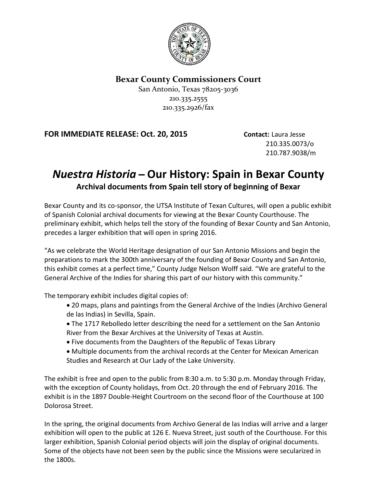

## **Bexar County Commissioners Court**

San Antonio, Texas 78205-3036 210.335.2555 210.335.2926/fax

## **FOR IMMEDIATE RELEASE: Oct. 20, 2015 Contact:** Laura Jesse

210.335.0073/o 210.787.9038/m

## *Nuestra Historia* **̶Our History: Spain in Bexar County Archival documents from Spain tell story of beginning of Bexar**

Bexar County and its co-sponsor, the UTSA Institute of Texan Cultures, will open a public exhibit of Spanish Colonial archival documents for viewing at the Bexar County Courthouse. The preliminary exhibit, which helps tell the story of the founding of Bexar County and San Antonio, precedes a larger exhibition that will open in spring 2016.

"As we celebrate the World Heritage designation of our San Antonio Missions and begin the preparations to mark the 300th anniversary of the founding of Bexar County and San Antonio, this exhibit comes at a perfect time," County Judge Nelson Wolff said. "We are grateful to the General Archive of the Indies for sharing this part of our history with this community."

The temporary exhibit includes digital copies of:

- 20 maps, plans and paintings from the General Archive of the Indies (Archivo General de las Indias) in Sevilla, Spain.
- The 1717 Rebolledo letter describing the need for a settlement on the San Antonio River from the Bexar Archives at the University of Texas at Austin.
- Five documents from the Daughters of the Republic of Texas Library
- Multiple documents from the archival records at the Center for Mexican American Studies and Research at Our Lady of the Lake University.

The exhibit is free and open to the public from 8:30 a.m. to 5:30 p.m. Monday through Friday, with the exception of County holidays, from Oct. 20 through the end of February 2016. The exhibit is in the 1897 Double-Height Courtroom on the second floor of the Courthouse at 100 Dolorosa Street.

In the spring, the original documents from Archivo General de las Indias will arrive and a larger exhibition will open to the public at 126 E. Nueva Street, just south of the Courthouse. For this larger exhibition, Spanish Colonial period objects will join the display of original documents. Some of the objects have not been seen by the public since the Missions were secularized in the 1800s.